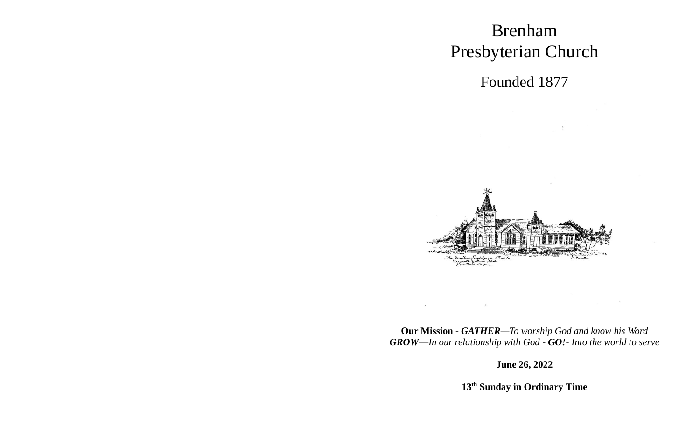# Brenham Presbyterian Church

Founded 1877

 $\mathcal{N}$  . The state  $\mathcal{N}$ 

 $\frac{1}{2}$ 



**Our Mission -** *GATHER—To worship God and know his Word GROW—In our relationship with God* **-** *GO!- Into the world to serve*

 $\begin{array}{ccc} \text{a} & \text{b} & \text{c} \\ \text{c} & \text{d} & \text{d} \end{array}$ 

**June 26, 2022**

**13 th Sunday in Ordinary Time**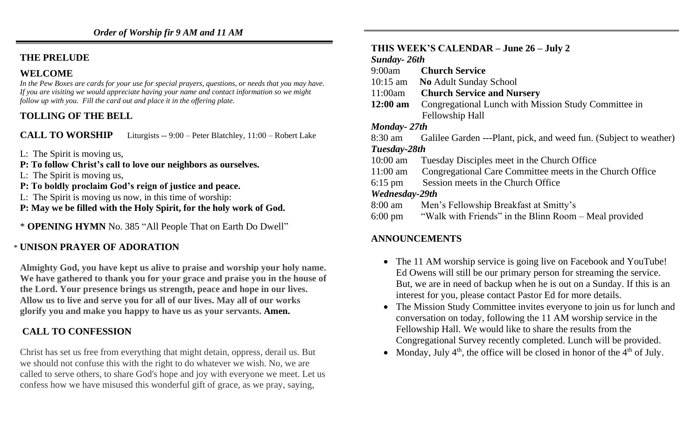# **THE PRELUDE**

# **WELCOME**

*In the Pew Boxes are cards for your use for special prayers, questions, or needs that you may have. If you are visiting we would appreciate having your name and contact information so we might follow up with you. Fill the card out and place it in the offering plate.*

# **TOLLING OF THE BELL**

**CALL TO WORSHIP** Liturgists -- 9:00 – Peter Blatchley, 11:00 – Robert Lake

- L: The Spirit is moving us,
- **P: To follow Christ's call to love our neighbors as ourselves.**
- L: The Spirit is moving us,
- **P: To boldly proclaim God's reign of justice and peace.**
- L: The Spirit is moving us now, in this time of worship:
- **P: May we be filled with the Holy Spirit, for the holy work of God.**
- \* **OPENING HYMN** No. 385 "All People That on Earth Do Dwell"

# \* **UNISON PRAYER OF ADORATION**

**Almighty God, you have kept us alive to praise and worship your holy name. We have gathered to thank you for your grace and praise you in the house of the Lord. Your presence brings us strength, peace and hope in our lives. Allow us to live and serve you for all of our lives. May all of our works glorify you and make you happy to have us as your servants. Amen.**

# **CALL TO CONFESSION**

Christ has set us free from everything that might detain, oppress, derail us. But we should not confuse this with the right to do whatever we wish. No, we are called to serve others, to share God's hope and joy with everyone we meet. Let us confess how we have misused this wonderful gift of grace, as we pray, saying,

#### **THIS WEEK'S CALENDAR – June 26 – July 2**

#### *Sunday- 26th*

9:00am **Church Service**

- 10:15 am **No** Adult Sunday School
- 11:00am **Church Service and Nursery**
- **12:00 am** Congregational Lunch with Mission Study Committee in Fellowship Hall

#### *Monday- 27th*

| 8:30 am      | Galilee Garden ---Plant, pick, and weed fun. (Subject to weather) |
|--------------|-------------------------------------------------------------------|
| Tuesday-28th |                                                                   |

- 10:00 am Tuesday Disciples meet in the Church Office
- 11:00 am Congregational Care Committee meets in the Church Office
- 6:15 pm Session meets in the Church Office

#### *Wednesday-29th*

- 8:00 am Men's Fellowship Breakfast at Smitty's
- 6:00 pm "Walk with Friends" in the Blinn Room Meal provided

# **ANNOUNCEMENTS**

- The 11 AM worship service is going live on Facebook and YouTube! Ed Owens will still be our primary person for streaming the service. But, we are in need of backup when he is out on a Sunday. If this is an interest for you, please contact Pastor Ed for more details.
- The Mission Study Committee invites everyone to join us for lunch and conversation on today, following the 11 AM worship service in the Fellowship Hall. We would like to share the results from the Congregational Survey recently completed. Lunch will be provided.
- Monday, July  $4<sup>th</sup>$ , the office will be closed in honor of the  $4<sup>th</sup>$  of July.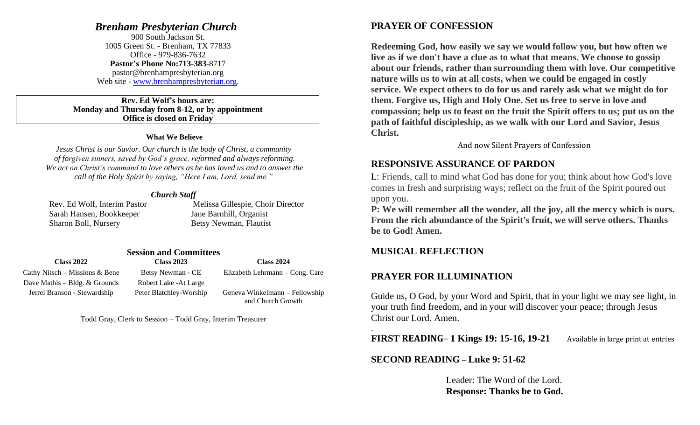#### *Brenham Presbyterian Church*

900 South Jackson St. 1005 Green St. - Brenham, TX 77833 Office - 979-836-7632 **Pastor's Phone No:713-383-**8717 pastor@brenhampresbyterian.org Web site - [www.brenhampresbyterian.org.](http://www.brenhampresbyterian.org/)

#### **Rev. Ed Wolf's hours are: Monday and Thursday from 8-12, or by appointment Office is closed on Friday**

#### **What We Believe**

*Jesus Christ is our Savior. Our church is the body of Christ, a community of forgiven sinners, saved by God's grace, reformed and always reforming. We act on Christ's command to love others as he has loved us and to answer the call of the Holy Spirit by saying, "Here I am, Lord, send me."* 

#### *Church Staff*

 Sarah Hansen, Bookkeeper Jane Barnhill, Organist Sharon Boll, Nursery Betsy Newman, Flautist

Rev. Ed Wolf, Interim Pastor Melissa Gillespie, Choir Director

#### **Session and Committees**

| <b>Class 2022</b>                 | <b>Class 2023</b>       | <b>Class 2024</b>                                   |  |
|-----------------------------------|-------------------------|-----------------------------------------------------|--|
| Cathy Nitsch – Missions $\&$ Bene | Betsy Newman - CE       | Elizabeth Lehrmann – Cong. Care                     |  |
| Dave Mathis – Bldg. $&$ Grounds   | Robert Lake - At Large  |                                                     |  |
| Jerrel Branson - Stewardship      | Peter Blatchley-Worship | Geneva Winkelmann – Fellowship<br>and Church Growth |  |

Todd Gray, Clerk to Session – Todd Gray, Interim Treasurer

## **PRAYER OF CONFESSION**

**Redeeming God, how easily we say we would follow you, but how often we live as if we don't have a clue as to what that means. We choose to gossip about our friends, rather than surrounding them with love. Our competitive nature wills us to win at all costs, when we could be engaged in costly service. We expect others to do for us and rarely ask what we might do for them. Forgive us, High and Holy One. Set us free to serve in love and compassion; help us to feast on the fruit the Spirit offers to us; put us on the path of faithful discipleship, as we walk with our Lord and Savior, Jesus Christ.** 

And now Silent Prayers of Confession

#### **RESPONSIVE ASSURANCE OF PARDON**

L: Friends, call to mind what God has done for you; think about how God's love comes in fresh and surprising ways; reflect on the fruit of the Spirit poured out upon you.

**P: We will remember all the wonder, all the joy, all the mercy which is ours. From the rich abundance of the Spirit's fruit, we will serve others. Thanks be to God! Amen.**

#### **MUSICAL REFLECTION**

.

#### **PRAYER FOR ILLUMINATION**

Guide us, O God, by your Word and Spirit, that in your light we may see light, in your truth find freedom, and in your will discover your peace; through Jesus Christ our Lord. Amen.

**FIRST READING**– **1 Kings 19: 15-16, 19-21** Available in large print at entries

**SECOND READING** *–* **Luke 9: 51-62**

Leader: The Word of the Lord. **Response: Thanks be to God.**